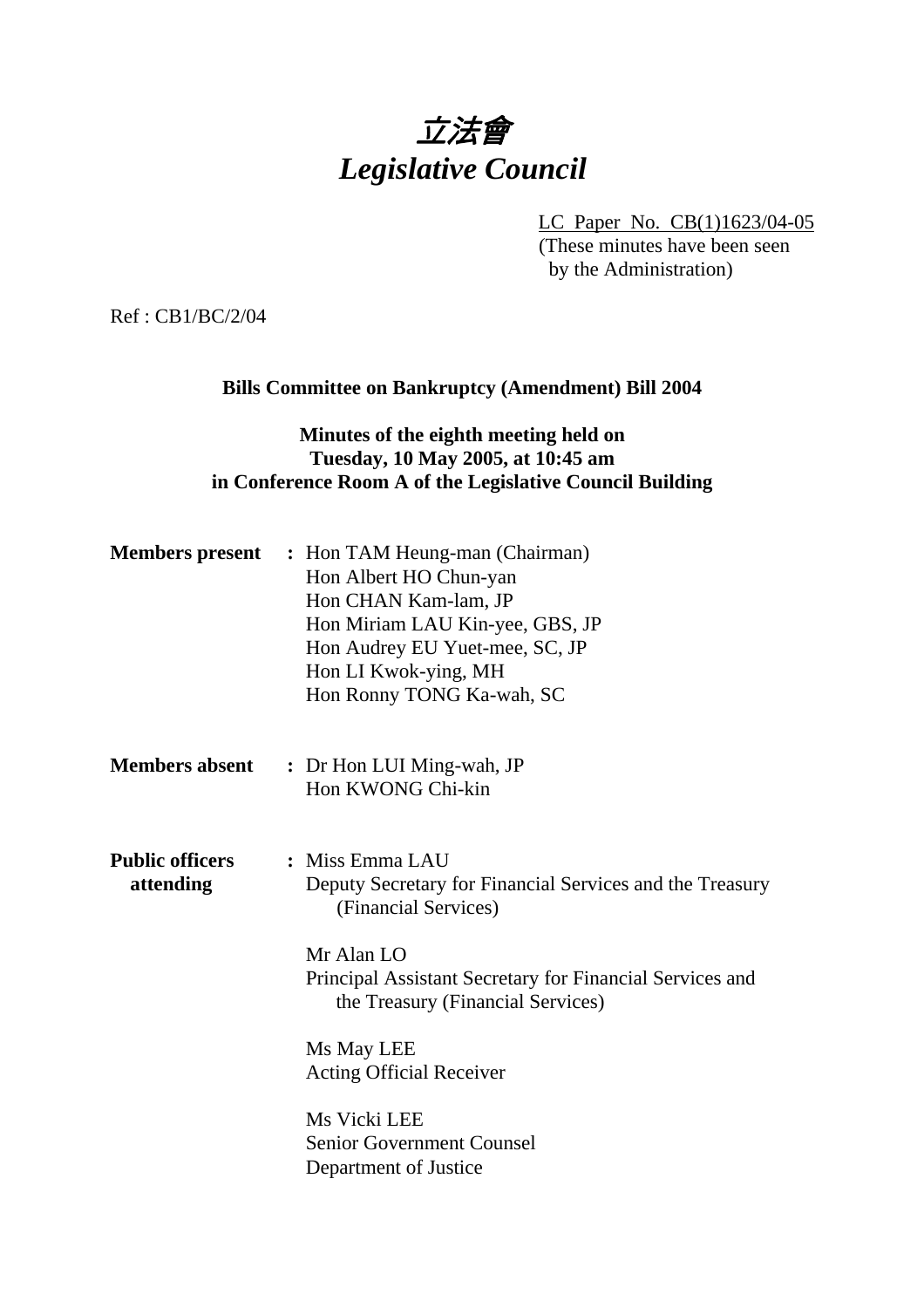# 立法會 *Legislative Council*

LC Paper No. CB(1)1623/04-05

(These minutes have been seen by the Administration)

Ref : CB1/BC/2/04

### **Bills Committee on Bankruptcy (Amendment) Bill 2004**

# **Minutes of the eighth meeting held on Tuesday, 10 May 2005, at 10:45 am in Conference Room A of the Legislative Council Building**

|                                     | <b>Members present</b> : Hon TAM Heung-man (Chairman)<br>Hon Albert HO Chun-yan<br>Hon CHAN Kam-lam, JP<br>Hon Miriam LAU Kin-yee, GBS, JP<br>Hon Audrey EU Yuet-mee, SC, JP<br>Hon LI Kwok-ying, MH<br>Hon Ronny TONG Ka-wah, SC |
|-------------------------------------|-----------------------------------------------------------------------------------------------------------------------------------------------------------------------------------------------------------------------------------|
| <b>Members absent</b>               | : Dr Hon LUI Ming-wah, JP<br>Hon KWONG Chi-kin                                                                                                                                                                                    |
| <b>Public officers</b><br>attending | : Miss Emma LAU<br>Deputy Secretary for Financial Services and the Treasury<br>(Financial Services)                                                                                                                               |
|                                     | Mr Alan LO<br>Principal Assistant Secretary for Financial Services and<br>the Treasury (Financial Services)                                                                                                                       |
|                                     | Ms May LEE<br><b>Acting Official Receiver</b>                                                                                                                                                                                     |
|                                     | Ms Vicki LEE<br><b>Senior Government Counsel</b><br>Department of Justice                                                                                                                                                         |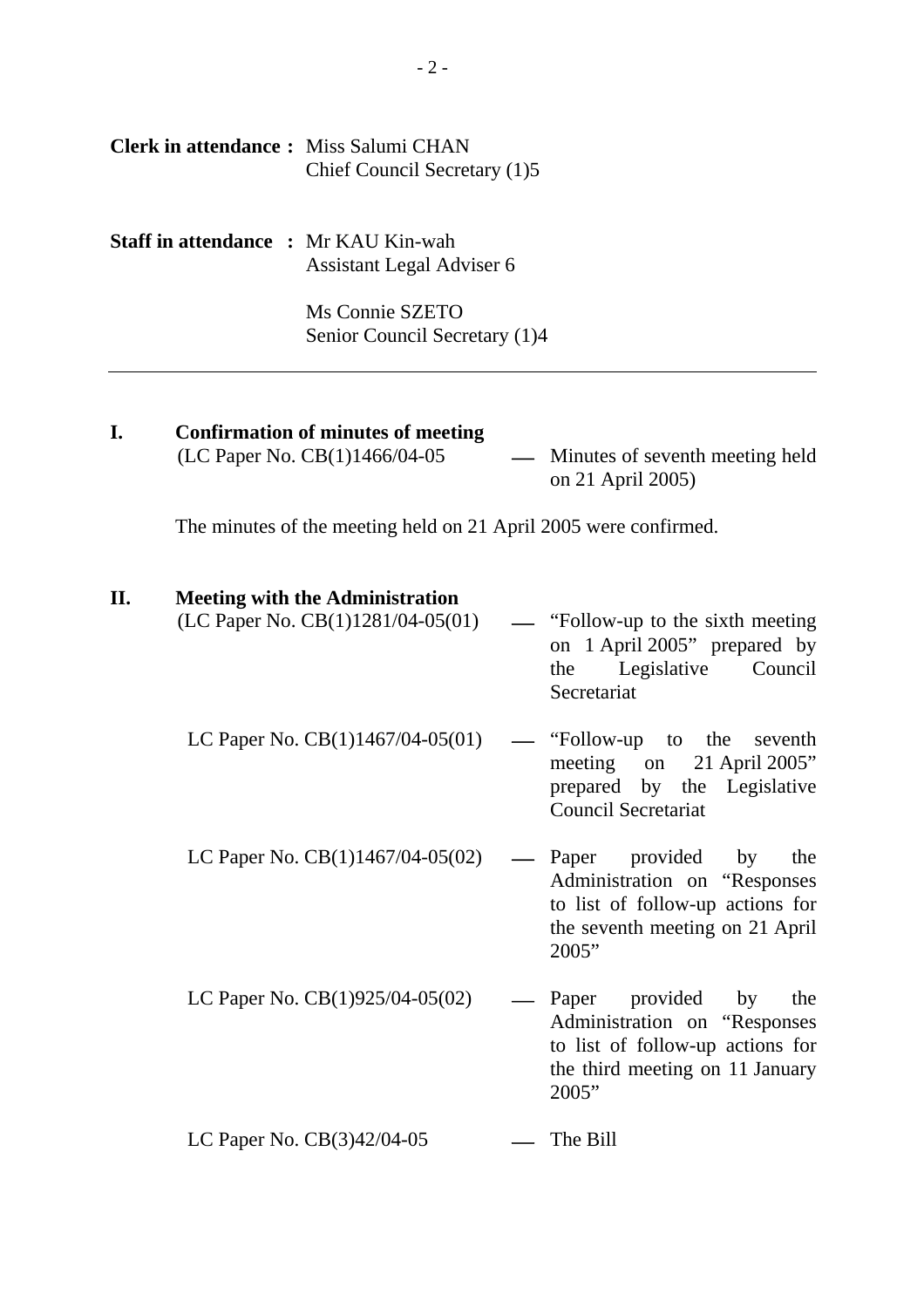|     | Chief Council Secretary (1)5                                                                                                 |                                                                                                                                                 |
|-----|------------------------------------------------------------------------------------------------------------------------------|-------------------------------------------------------------------------------------------------------------------------------------------------|
|     | <b>Staff in attendance : Mr KAU Kin-wah</b><br>Assistant Legal Adviser 6<br>Ms Connie SZETO<br>Senior Council Secretary (1)4 |                                                                                                                                                 |
| I.  | <b>Confirmation of minutes of meeting</b><br>(LC Paper No. CB(1)1466/04-05                                                   | — Minutes of seventh meeting held<br>on 21 April 2005)                                                                                          |
|     | The minutes of the meeting held on 21 April 2005 were confirmed.                                                             |                                                                                                                                                 |
| II. | <b>Meeting with the Administration</b><br>(LC Paper No. CB(1)1281/04-05(01)                                                  | — "Follow-up to the sixth meeting"<br>on 1 April 2005" prepared by<br>Legislative Council<br>the<br>Secretariat                                 |
|     | LC Paper No. $CB(1)1467/04-05(01)$                                                                                           | "Follow-up to the<br>seventh<br>meeting on<br>21 April 2005"<br>prepared by the Legislative<br><b>Council Secretariat</b>                       |
|     | LC Paper No. $CB(1)1467/04-05(02)$                                                                                           | Paper provided by the<br>Administration on "Responses"<br>to list of follow-up actions for<br>the seventh meeting on 21 April<br>2005"          |
|     | LC Paper No. $CB(1)925/04-05(02)$                                                                                            | provided<br>Paper<br>by<br>the<br>Administration on "Responses"<br>to list of follow-up actions for<br>the third meeting on 11 January<br>2005" |
|     | LC Paper No. $CB(3)42/04-05$                                                                                                 | The Bill                                                                                                                                        |

**Clerk in attendance :** Miss Salumi CHAN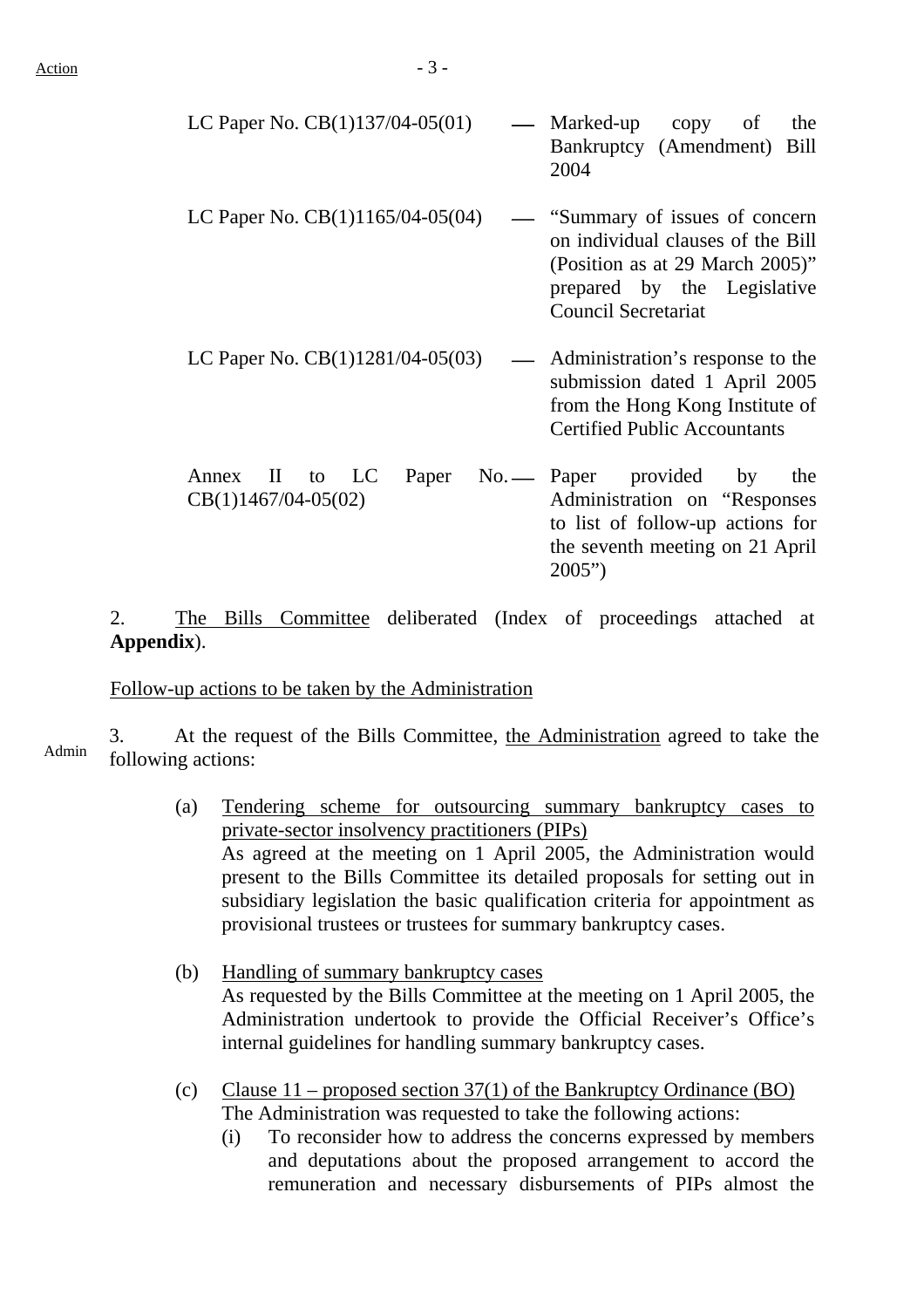| LC Paper No. $CB(1)137/04-05(01)$                                   | Marked-up copy of<br>the<br>Bankruptcy (Amendment)<br>Bill<br>2004                                                                                                 |
|---------------------------------------------------------------------|--------------------------------------------------------------------------------------------------------------------------------------------------------------------|
| LC Paper No. $CB(1)1165/04-05(04)$                                  | "Summary of issues of concern<br>on individual clauses of the Bill<br>(Position as at 29 March 2005)"<br>prepared by the Legislative<br><b>Council Secretariat</b> |
| LC Paper No. $CB(1)1281/04-05(03)$<br>$\frac{1}{2}$                 | Administration's response to the<br>submission dated 1 April 2005<br>from the Hong Kong Institute of<br><b>Certified Public Accountants</b>                        |
| LC<br>Paper<br>$\mathbf{I}$<br>Annex<br>to<br>$CB(1)1467/04-05(02)$ | No. — Paper provided by<br>the<br>Administration on "Responses"<br>to list of follow-up actions for<br>the seventh meeting on 21 April<br>2005"                    |

2. The Bills Committee deliberated (Index of proceedings attached at **Appendix**).

Follow-up actions to be taken by the Administration

3. At the request of the Bills Committee, the Administration agreed to take the Admin following actions:

- (a) Tendering scheme for outsourcing summary bankruptcy cases to private-sector insolvency practitioners (PIPs) As agreed at the meeting on 1 April 2005, the Administration would present to the Bills Committee its detailed proposals for setting out in subsidiary legislation the basic qualification criteria for appointment as provisional trustees or trustees for summary bankruptcy cases.
- (b) Handling of summary bankruptcy cases As requested by the Bills Committee at the meeting on 1 April 2005, the Administration undertook to provide the Official Receiver's Office's internal guidelines for handling summary bankruptcy cases.
- (c) Clause  $11$  proposed section 37(1) of the Bankruptcy Ordinance (BO) The Administration was requested to take the following actions:
	- (i) To reconsider how to address the concerns expressed by members and deputations about the proposed arrangement to accord the remuneration and necessary disbursements of PIPs almost the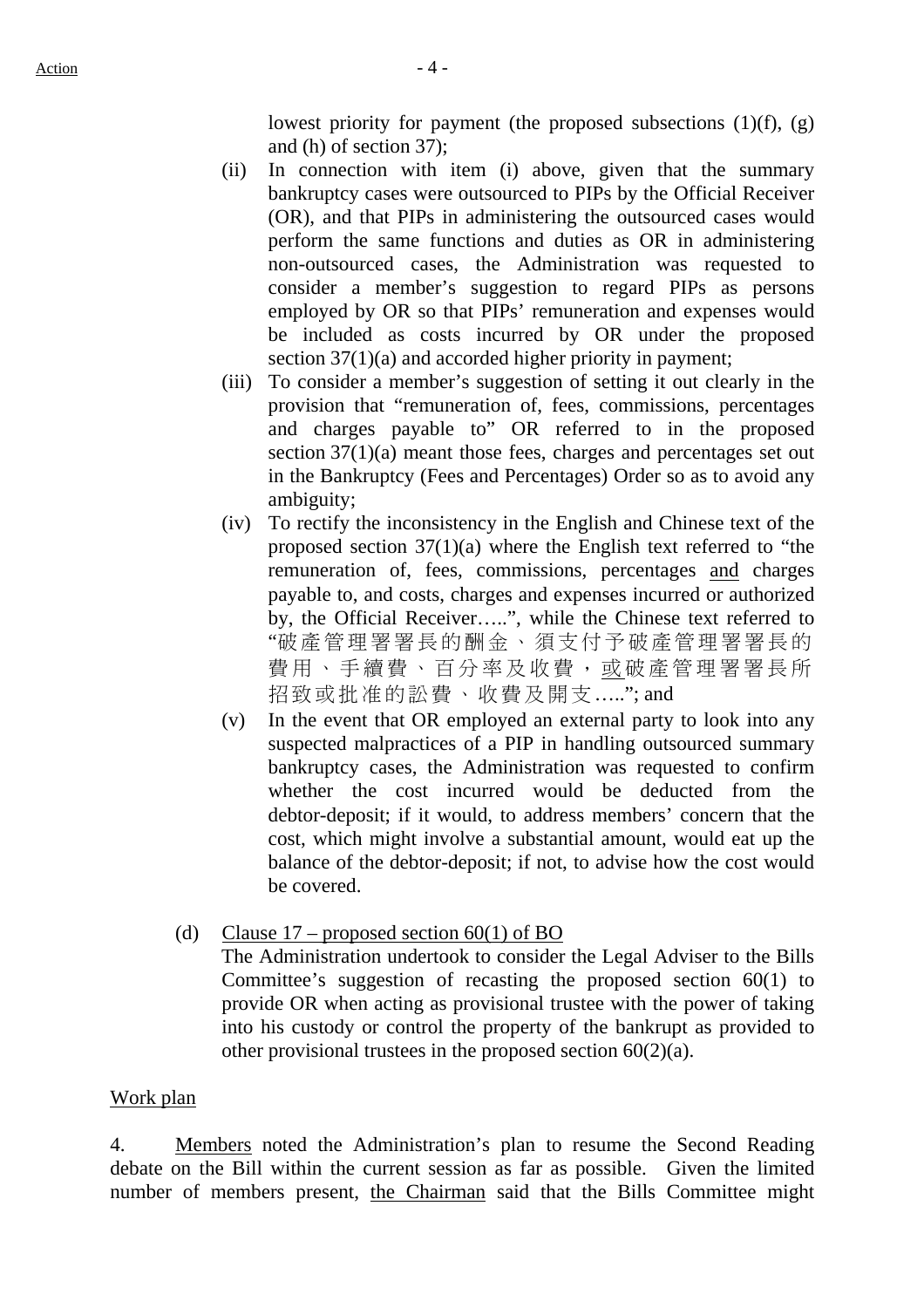lowest priority for payment (the proposed subsections  $(1)(f)$ ,  $(g)$ ) and (h) of section 37);

- (ii) In connection with item (i) above, given that the summary bankruptcy cases were outsourced to PIPs by the Official Receiver (OR), and that PIPs in administering the outsourced cases would perform the same functions and duties as OR in administering non-outsourced cases, the Administration was requested to consider a member's suggestion to regard PIPs as persons employed by OR so that PIPs' remuneration and expenses would be included as costs incurred by OR under the proposed section  $37(1)(a)$  and accorded higher priority in payment;
- (iii) To consider a member's suggestion of setting it out clearly in the provision that "remuneration of, fees, commissions, percentages and charges payable to" OR referred to in the proposed section  $37(1)(a)$  meant those fees, charges and percentages set out in the Bankruptcy (Fees and Percentages) Order so as to avoid any ambiguity;
- (iv) To rectify the inconsistency in the English and Chinese text of the proposed section 37(1)(a) where the English text referred to "the remuneration of, fees, commissions, percentages and charges payable to, and costs, charges and expenses incurred or authorized by, the Official Receiver…..", while the Chinese text referred to "破產管理署署長的酬金、須支付予破產管理署署長的 費用、手續費、百分率及收費,或破產管理署署長所 招致或批准的訟費、收費及開支….."; and
- (v) In the event that OR employed an external party to look into any suspected malpractices of a PIP in handling outsourced summary bankruptcy cases, the Administration was requested to confirm whether the cost incurred would be deducted from the debtor-deposit; if it would, to address members' concern that the cost, which might involve a substantial amount, would eat up the balance of the debtor-deposit; if not, to advise how the cost would be covered.
- (d) Clause  $17$  proposed section  $60(1)$  of BO

The Administration undertook to consider the Legal Adviser to the Bills Committee's suggestion of recasting the proposed section 60(1) to provide OR when acting as provisional trustee with the power of taking into his custody or control the property of the bankrupt as provided to other provisional trustees in the proposed section 60(2)(a).

#### Work plan

4. Members noted the Administration's plan to resume the Second Reading debate on the Bill within the current session as far as possible. Given the limited number of members present, the Chairman said that the Bills Committee might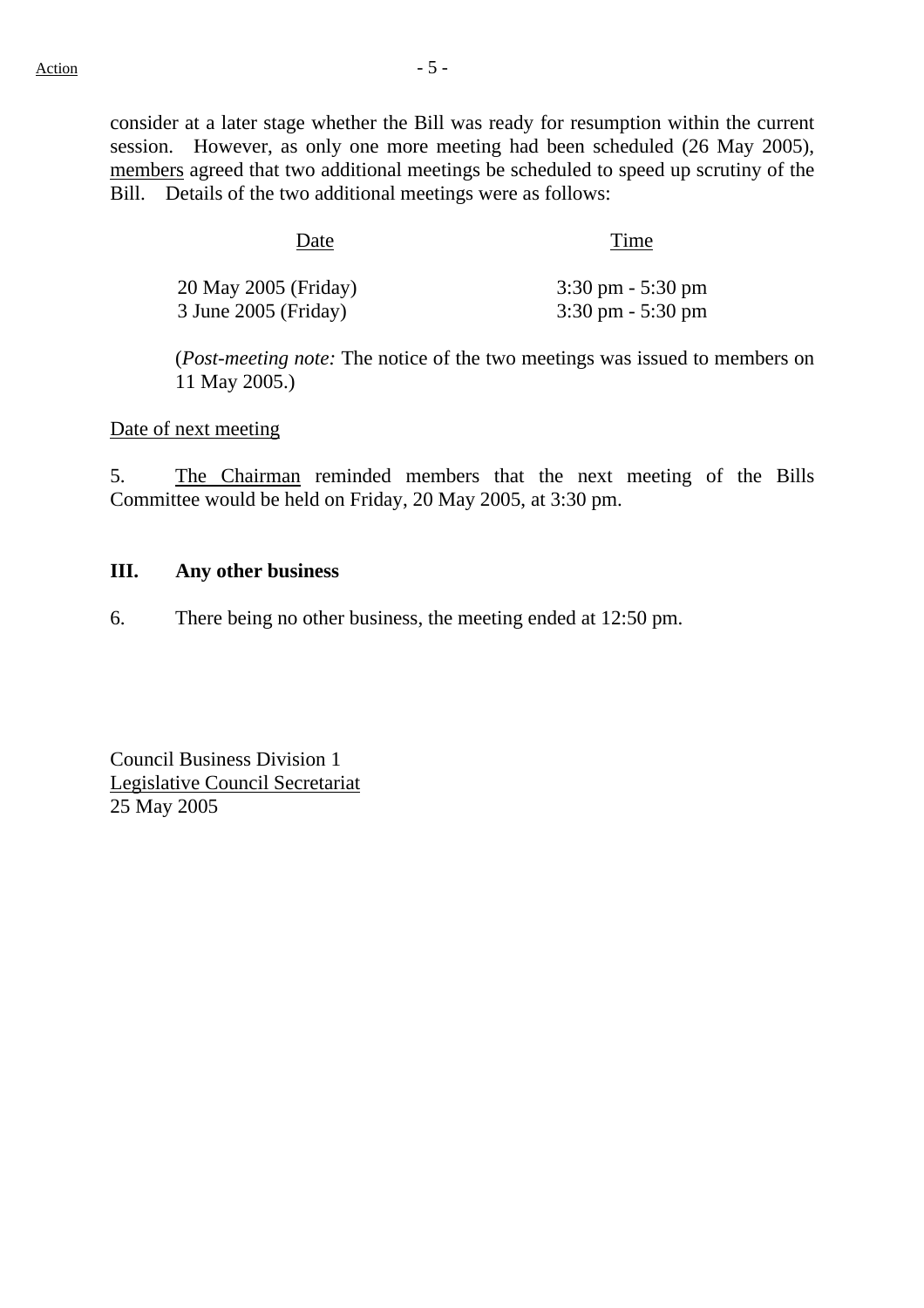consider at a later stage whether the Bill was ready for resumption within the current session. However, as only one more meeting had been scheduled (26 May 2005), members agreed that two additional meetings be scheduled to speed up scrutiny of the Bill. Details of the two additional meetings were as follows:

Date Time

| 20 May 2005 (Friday) | $3:30 \text{ pm} - 5:30 \text{ pm}$ |
|----------------------|-------------------------------------|
| 3 June 2005 (Friday) | $3:30 \text{ pm} - 5:30 \text{ pm}$ |

(*Post-meeting note:* The notice of the two meetings was issued to members on 11 May 2005.)

Date of next meeting

5. The Chairman reminded members that the next meeting of the Bills Committee would be held on Friday, 20 May 2005, at 3:30 pm.

#### **III. Any other business**

6. There being no other business, the meeting ended at 12:50 pm.

Council Business Division 1 Legislative Council Secretariat 25 May 2005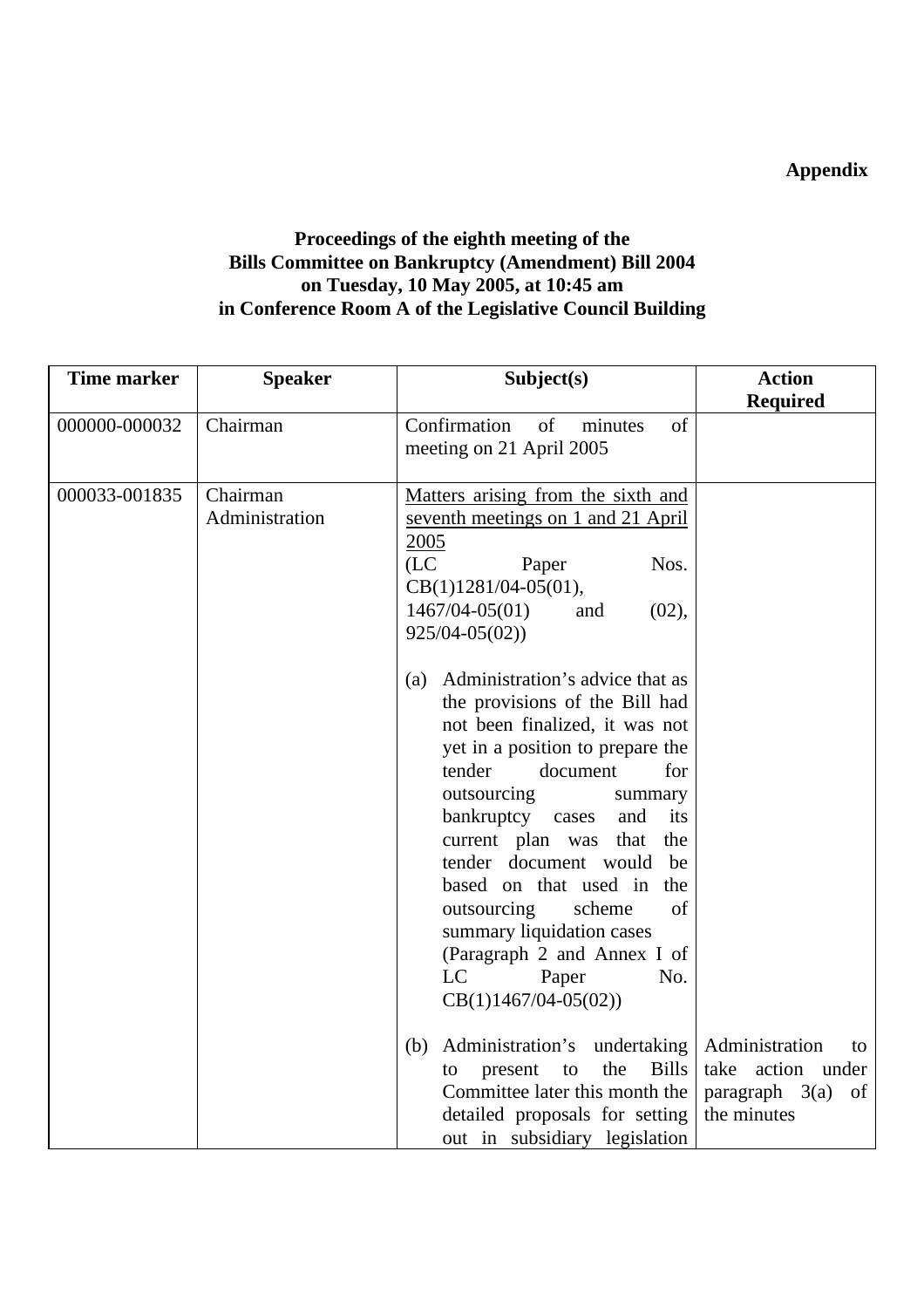# **Appendix**

# **Proceedings of the eighth meeting of the Bills Committee on Bankruptcy (Amendment) Bill 2004 on Tuesday, 10 May 2005, at 10:45 am in Conference Room A of the Legislative Council Building**

| <b>Time marker</b> | <b>Speaker</b>             | Subject(s)                                                                                                                                                                                                                                                                                                                                                                                                                                                                                                                                                                                                                                                                          | <b>Action</b>                                                                      |
|--------------------|----------------------------|-------------------------------------------------------------------------------------------------------------------------------------------------------------------------------------------------------------------------------------------------------------------------------------------------------------------------------------------------------------------------------------------------------------------------------------------------------------------------------------------------------------------------------------------------------------------------------------------------------------------------------------------------------------------------------------|------------------------------------------------------------------------------------|
|                    |                            |                                                                                                                                                                                                                                                                                                                                                                                                                                                                                                                                                                                                                                                                                     | <b>Required</b>                                                                    |
| 000000-000032      | Chairman                   | Confirmation<br>of<br>minutes<br>of<br>meeting on 21 April 2005                                                                                                                                                                                                                                                                                                                                                                                                                                                                                                                                                                                                                     |                                                                                    |
| 000033-001835      | Chairman<br>Administration | Matters arising from the sixth and<br>seventh meetings on 1 and 21 April<br>2005<br>(LC)<br>Nos.<br>Paper<br>$CB(1)1281/04-05(01),$<br>$1467/04 - 05(01)$<br>(02),<br>and<br>$925/04 - 05(02)$<br>(a) Administration's advice that as<br>the provisions of the Bill had<br>not been finalized, it was not<br>yet in a position to prepare the<br>tender<br>document<br>for<br>outsourcing<br>summary<br>bankruptcy cases<br>and<br>its<br>current plan was<br>that<br>the<br>tender document would<br>be<br>based on that used in<br>the<br>outsourcing<br>scheme<br>of<br>summary liquidation cases<br>(Paragraph 2 and Annex I of<br>LC<br>Paper<br>No.<br>$CB(1)1467/04-05(02))$ |                                                                                    |
|                    |                            | Administration's undertaking<br>(b)<br>the<br><b>Bills</b><br>present<br>to<br>to<br>Committee later this month the<br>detailed proposals for setting                                                                                                                                                                                                                                                                                                                                                                                                                                                                                                                               | Administration<br>to<br>take action under<br>paragraph $3(a)$<br>of<br>the minutes |
|                    |                            | out in subsidiary legislation                                                                                                                                                                                                                                                                                                                                                                                                                                                                                                                                                                                                                                                       |                                                                                    |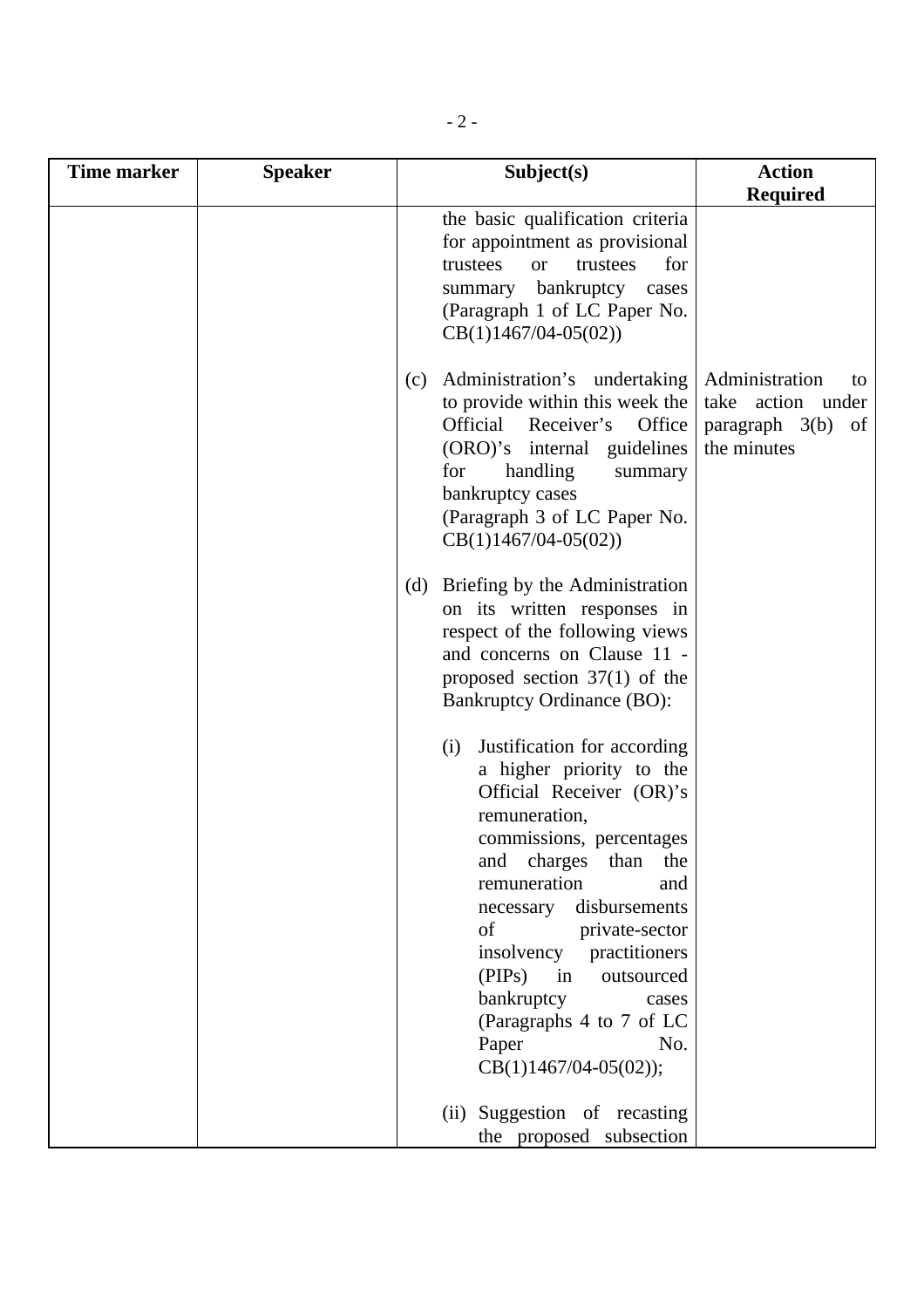| <b>Time marker</b> | <b>Speaker</b> | Subject(s)                                                                                                                                                                                                                                      | <b>Action</b>                                                                            |
|--------------------|----------------|-------------------------------------------------------------------------------------------------------------------------------------------------------------------------------------------------------------------------------------------------|------------------------------------------------------------------------------------------|
|                    |                |                                                                                                                                                                                                                                                 | <b>Required</b>                                                                          |
|                    |                | the basic qualification criteria<br>for appointment as provisional<br>trustees<br>for<br><b>or</b><br>trustees<br>summary bankruptcy<br>cases<br>(Paragraph 1 of LC Paper No.<br>$CB(1)1467/04-05(02))$                                         |                                                                                          |
|                    |                | Administration's undertaking<br>(c)<br>to provide within this week the<br>Official Receiver's Office<br>(ORO)'s internal guidelines<br>handling<br>for<br>summary<br>bankruptcy cases<br>(Paragraph 3 of LC Paper No.<br>$CB(1)1467/04-05(02))$ | Administration<br>to<br>take action under<br>$paragraph \quad 3(b)$<br>of<br>the minutes |
|                    |                | Briefing by the Administration<br>(d)<br>on its written responses in<br>respect of the following views<br>and concerns on Clause 11 -<br>proposed section $37(1)$ of the<br><b>Bankruptcy Ordinance (BO):</b>                                   |                                                                                          |
|                    |                | Justification for according<br>(i)<br>a higher priority to the<br>Official Receiver (OR)'s<br>remuneration,<br>commissions, percentages<br>charges<br>and<br>than<br>the<br>remuneration<br>and                                                 |                                                                                          |
|                    |                | disbursements<br>necessary<br>of<br>private-sector<br>insolvency<br>practitioners<br>(PIPs)<br>in<br>outsourced<br>bankruptcy<br>cases<br>(Paragraphs 4 to 7 of LC<br>Paper<br>No.<br>CB(1)1467/04-05(02));                                     |                                                                                          |
|                    |                | (ii) Suggestion of recasting<br>the proposed subsection                                                                                                                                                                                         |                                                                                          |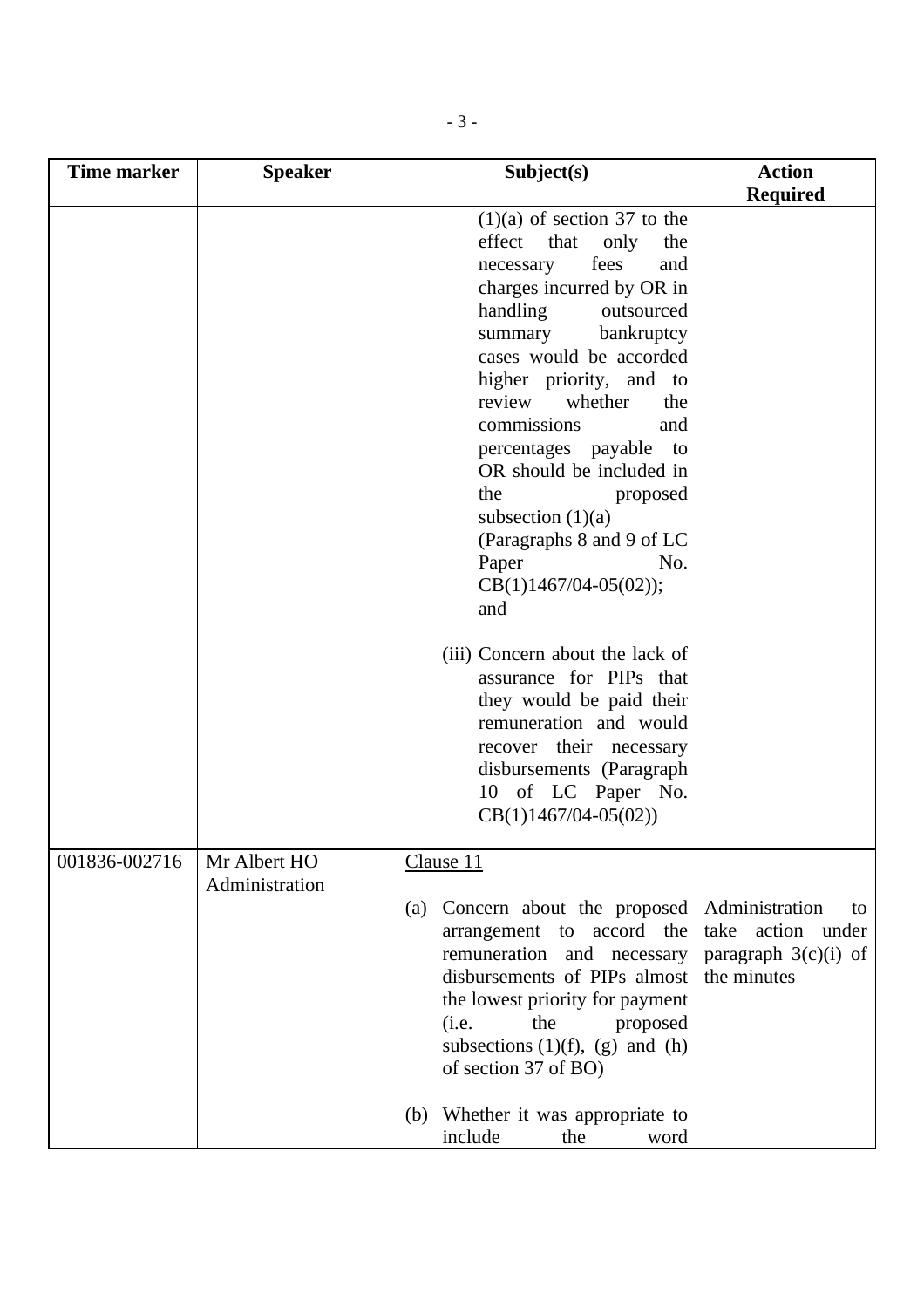| <b>Time marker</b> | <b>Speaker</b>                 | Subject(s)                                                                                                                                                                                                                                                                                                                                                                                                                                                                                                                                                                                                                                                         | <b>Action</b>                                                                      |
|--------------------|--------------------------------|--------------------------------------------------------------------------------------------------------------------------------------------------------------------------------------------------------------------------------------------------------------------------------------------------------------------------------------------------------------------------------------------------------------------------------------------------------------------------------------------------------------------------------------------------------------------------------------------------------------------------------------------------------------------|------------------------------------------------------------------------------------|
|                    |                                |                                                                                                                                                                                                                                                                                                                                                                                                                                                                                                                                                                                                                                                                    | <b>Required</b>                                                                    |
|                    |                                | $(1)(a)$ of section 37 to the<br>effect<br>that<br>only<br>the<br>fees<br>necessary<br>and<br>charges incurred by OR in<br>handling<br>outsourced<br>summary<br>bankruptcy<br>cases would be accorded<br>higher priority, and to<br>review<br>whether<br>the<br>commissions<br>and<br>percentages payable to<br>OR should be included in<br>the<br>proposed<br>subsection $(1)(a)$<br>(Paragraphs 8 and 9 of LC<br>Paper<br>No.<br>$CB(1)1467/04-05(02));$<br>and<br>(iii) Concern about the lack of<br>assurance for PIPs that<br>they would be paid their<br>remuneration and would<br>recover their necessary<br>disbursements (Paragraph<br>10 of LC Paper No. |                                                                                    |
|                    |                                | $CB(1)1467/04-05(02))$                                                                                                                                                                                                                                                                                                                                                                                                                                                                                                                                                                                                                                             |                                                                                    |
| 001836-002716      | Mr Albert HO<br>Administration | Clause 11<br>Concern about the proposed<br>(a)<br>arrangement to accord the<br>remuneration and necessary<br>disbursements of PIPs almost<br>the lowest priority for payment<br>the<br>proposed<br>(i.e.<br>subsections $(1)(f)$ , $(g)$ and $(h)$<br>of section 37 of BO)<br>Whether it was appropriate to<br>(b)                                                                                                                                                                                                                                                                                                                                                 | Administration<br>to<br>take action under<br>paragraph $3(c)(i)$ of<br>the minutes |
|                    |                                | include<br>the<br>word                                                                                                                                                                                                                                                                                                                                                                                                                                                                                                                                                                                                                                             |                                                                                    |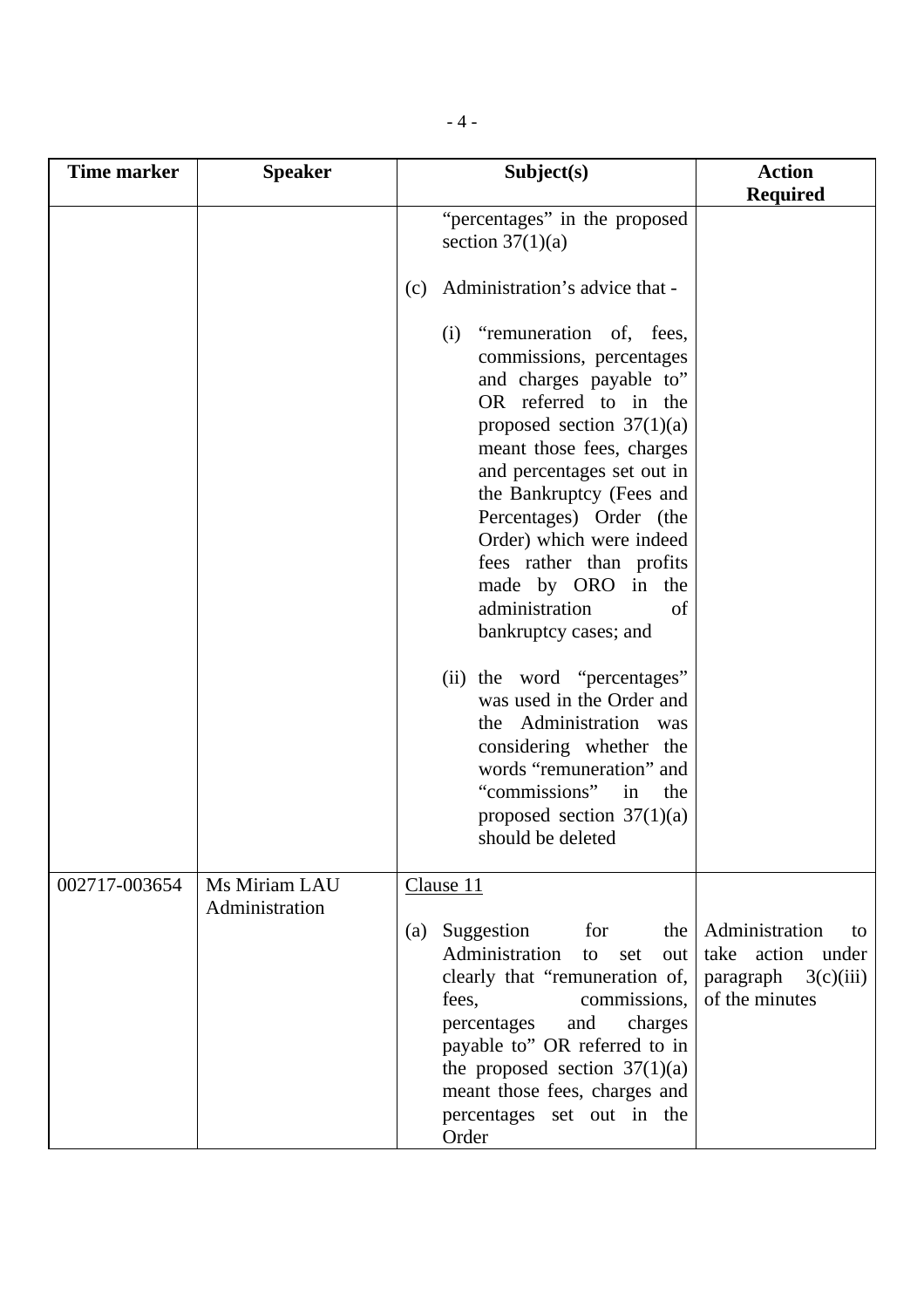| <b>Time marker</b> | <b>Speaker</b>                  | Subject(s)                                                                                                                                                                                                                                                                                                                                                                                     | <b>Action</b>                                                                        |
|--------------------|---------------------------------|------------------------------------------------------------------------------------------------------------------------------------------------------------------------------------------------------------------------------------------------------------------------------------------------------------------------------------------------------------------------------------------------|--------------------------------------------------------------------------------------|
|                    |                                 |                                                                                                                                                                                                                                                                                                                                                                                                | <b>Required</b>                                                                      |
|                    |                                 | "percentages" in the proposed<br>section $37(1)(a)$                                                                                                                                                                                                                                                                                                                                            |                                                                                      |
|                    |                                 | Administration's advice that -<br>(c)                                                                                                                                                                                                                                                                                                                                                          |                                                                                      |
|                    |                                 | "remuneration of, fees,<br>(i)<br>commissions, percentages<br>and charges payable to"<br>OR referred to in the<br>proposed section $37(1)(a)$<br>meant those fees, charges<br>and percentages set out in<br>the Bankruptcy (Fees and<br>Percentages) Order (the<br>Order) which were indeed<br>fees rather than profits<br>made by ORO in the<br>administration<br>of<br>bankruptcy cases; and |                                                                                      |
|                    |                                 | (ii) the word "percentages"<br>was used in the Order and<br>the Administration was<br>considering whether the<br>words "remuneration" and<br>"commissions"<br>the<br>in<br>proposed section $37(1)(a)$<br>should be deleted                                                                                                                                                                    |                                                                                      |
| 002717-003654      | Ms Miriam LAU<br>Administration | Clause 11<br>Suggestion<br>for<br>the $\vert$<br>(a)<br>Administration<br>out  <br>to<br>set<br>clearly that "remuneration of,<br>commissions,<br>fees,<br>and<br>charges<br>percentages<br>payable to" OR referred to in<br>the proposed section $37(1)(a)$<br>meant those fees, charges and<br>percentages set out in the<br>Order                                                           | Administration<br>to<br>take action under<br>paragraph $3(c)(iii)$<br>of the minutes |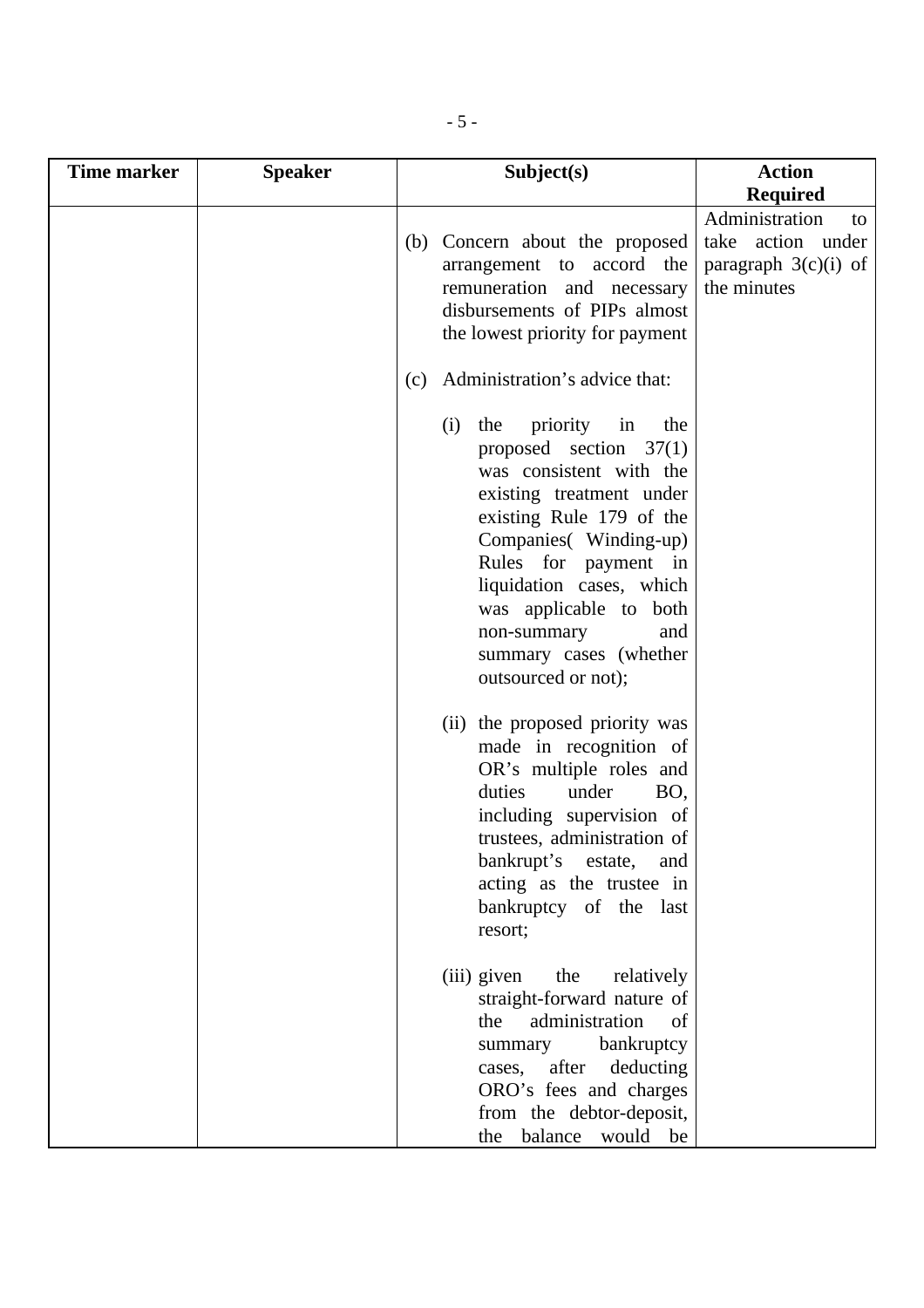| <b>Time marker</b> | <b>Speaker</b> | Subject(s)                                                                                                                                                                                                                                                                                                                       | <b>Action</b>                                                                      |
|--------------------|----------------|----------------------------------------------------------------------------------------------------------------------------------------------------------------------------------------------------------------------------------------------------------------------------------------------------------------------------------|------------------------------------------------------------------------------------|
|                    |                |                                                                                                                                                                                                                                                                                                                                  | <b>Required</b>                                                                    |
|                    |                | (b) Concern about the proposed<br>arrangement to accord the<br>remuneration and necessary<br>disbursements of PIPs almost<br>the lowest priority for payment                                                                                                                                                                     | Administration<br>to<br>take action under<br>paragraph $3(c)(i)$ of<br>the minutes |
|                    |                | Administration's advice that:<br>(c)                                                                                                                                                                                                                                                                                             |                                                                                    |
|                    |                | priority<br>in<br>(i)<br>the<br>the<br>proposed section $37(1)$<br>was consistent with the<br>existing treatment under<br>existing Rule 179 of the<br>Companies(Winding-up)<br>Rules for payment in<br>liquidation cases, which<br>was applicable to both<br>and<br>non-summary<br>summary cases (whether<br>outsourced or not); |                                                                                    |
|                    |                | the proposed priority was<br>(ii)<br>made in recognition of<br>OR's multiple roles and<br>duties<br>under<br>BO,<br>including supervision of<br>trustees, administration of<br>bankrupt's<br>estate,<br>and<br>acting as the trustee in<br>bankruptcy of the last<br>resort;                                                     |                                                                                    |
|                    |                | (iii) given<br>the<br>relatively<br>straight-forward nature of<br>administration<br>the<br>of<br>bankruptcy<br>summary<br>cases, after<br>deducting<br>ORO's fees and charges<br>from the debtor-deposit,<br>balance<br>would be<br>the                                                                                          |                                                                                    |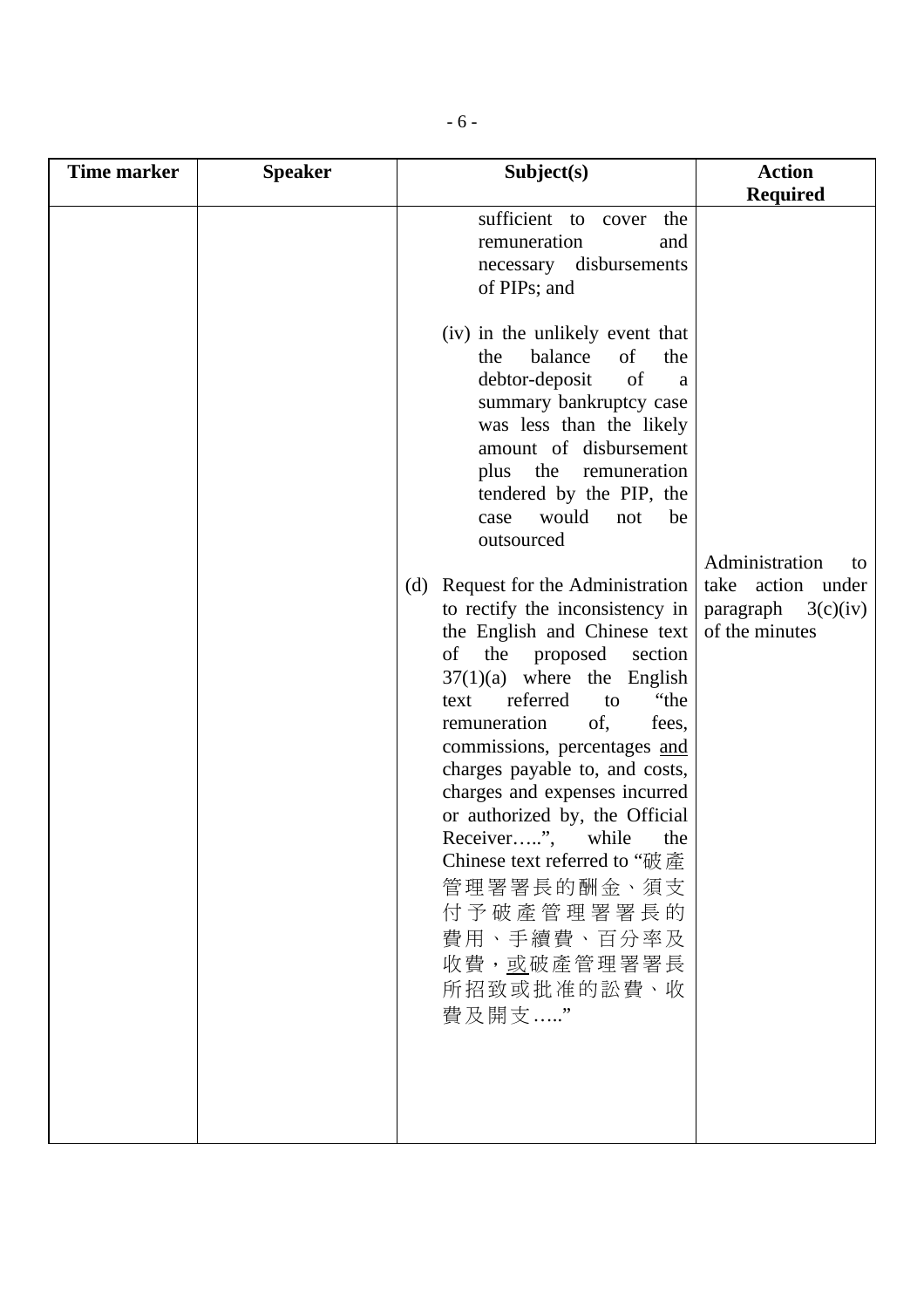| Time marker | <b>Speaker</b> | Subject(s)                                                                                                                                                                                                                                                                                                                                                                                                                                                                                                                          | <b>Action</b>                                                                       |
|-------------|----------------|-------------------------------------------------------------------------------------------------------------------------------------------------------------------------------------------------------------------------------------------------------------------------------------------------------------------------------------------------------------------------------------------------------------------------------------------------------------------------------------------------------------------------------------|-------------------------------------------------------------------------------------|
|             |                |                                                                                                                                                                                                                                                                                                                                                                                                                                                                                                                                     | <b>Required</b>                                                                     |
|             |                | sufficient to cover<br>the<br>remuneration<br>and<br>necessary disbursements<br>of PIPs; and                                                                                                                                                                                                                                                                                                                                                                                                                                        |                                                                                     |
|             |                | (iv) in the unlikely event that<br>balance<br>of<br>the<br>the<br>of<br>debtor-deposit<br>a<br>summary bankruptcy case<br>was less than the likely<br>amount of disbursement<br>the<br>plus<br>remuneration<br>tendered by the PIP, the<br>would<br>be<br>not<br>case<br>outsourced                                                                                                                                                                                                                                                 |                                                                                     |
|             |                | Request for the Administration<br>(d)<br>to rectify the inconsistency in<br>the English and Chinese text<br>the proposed<br>of<br>section<br>$37(1)(a)$ where the English<br>referred<br>"the<br>text<br>to<br>of,<br>remuneration<br>fees,<br>commissions, percentages and<br>charges payable to, and costs,<br>charges and expenses incurred<br>or authorized by, the Official<br>Receiver",<br>while<br>the<br>Chinese text referred to "破產<br>管理署署長的酬金、須支<br>付予破產管理署署長的<br>費用、手續費、百分率及<br>收費,或破產管理署署長<br>所招致或批准的訟費、收<br>費及開支……" | Administration<br>to<br>take action under<br>paragraph $3(c)(iv)$<br>of the minutes |
|             |                |                                                                                                                                                                                                                                                                                                                                                                                                                                                                                                                                     |                                                                                     |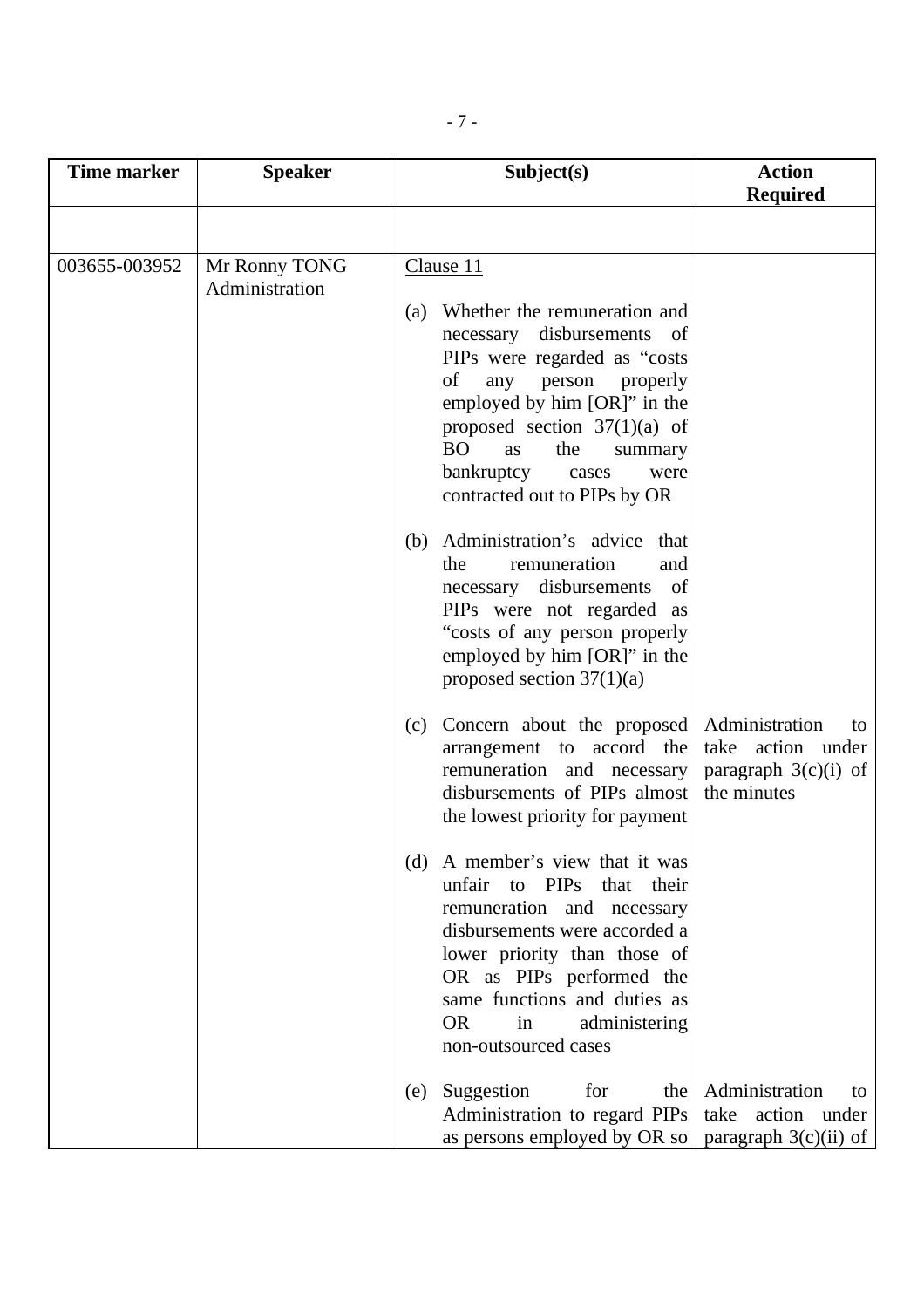| <b>Time marker</b> | <b>Speaker</b>                  | Subject(s)                                                                                                                                                                                                                                                                                                                              | <b>Action</b><br><b>Required</b>                                                   |
|--------------------|---------------------------------|-----------------------------------------------------------------------------------------------------------------------------------------------------------------------------------------------------------------------------------------------------------------------------------------------------------------------------------------|------------------------------------------------------------------------------------|
|                    |                                 |                                                                                                                                                                                                                                                                                                                                         |                                                                                    |
| 003655-003952      | Mr Ronny TONG<br>Administration | Clause <sub>11</sub><br>Whether the remuneration and<br>(a)<br>necessary disbursements<br>- of<br>PIPs were regarded as "costs<br>of<br>person<br>any<br>properly<br>employed by him [OR]" in the<br>proposed section $37(1)(a)$ of<br><b>BO</b><br>the<br>as<br>summary<br>bankruptcy<br>cases<br>were<br>contracted out to PIPs by OR |                                                                                    |
|                    |                                 | Administration's advice that<br>(b)<br>remuneration<br>the<br>and<br>necessary disbursements<br>of<br>PIPs were not regarded as<br>"costs of any person properly<br>employed by him [OR]" in the<br>proposed section $37(1)(a)$                                                                                                         |                                                                                    |
|                    |                                 | Concern about the proposed<br>(c)<br>arrangement to accord the<br>remuneration and necessary<br>disbursements of PIPs almost<br>the lowest priority for payment                                                                                                                                                                         | Administration<br>to<br>take action under<br>paragraph $3(c)(i)$ of<br>the minutes |
|                    |                                 | (d) A member's view that it was<br>unfair to PIPs<br>that their<br>remuneration and necessary<br>disbursements were accorded a<br>lower priority than those of<br>OR as PIPs performed the<br>same functions and duties as<br><b>OR</b><br>in<br>administering<br>non-outsourced cases                                                  |                                                                                    |
|                    |                                 | Suggestion<br>for<br>the<br>(e)<br>Administration to regard PIPs<br>as persons employed by OR so   paragraph $3(c)(ii)$ of                                                                                                                                                                                                              | Administration<br>to<br>take action under                                          |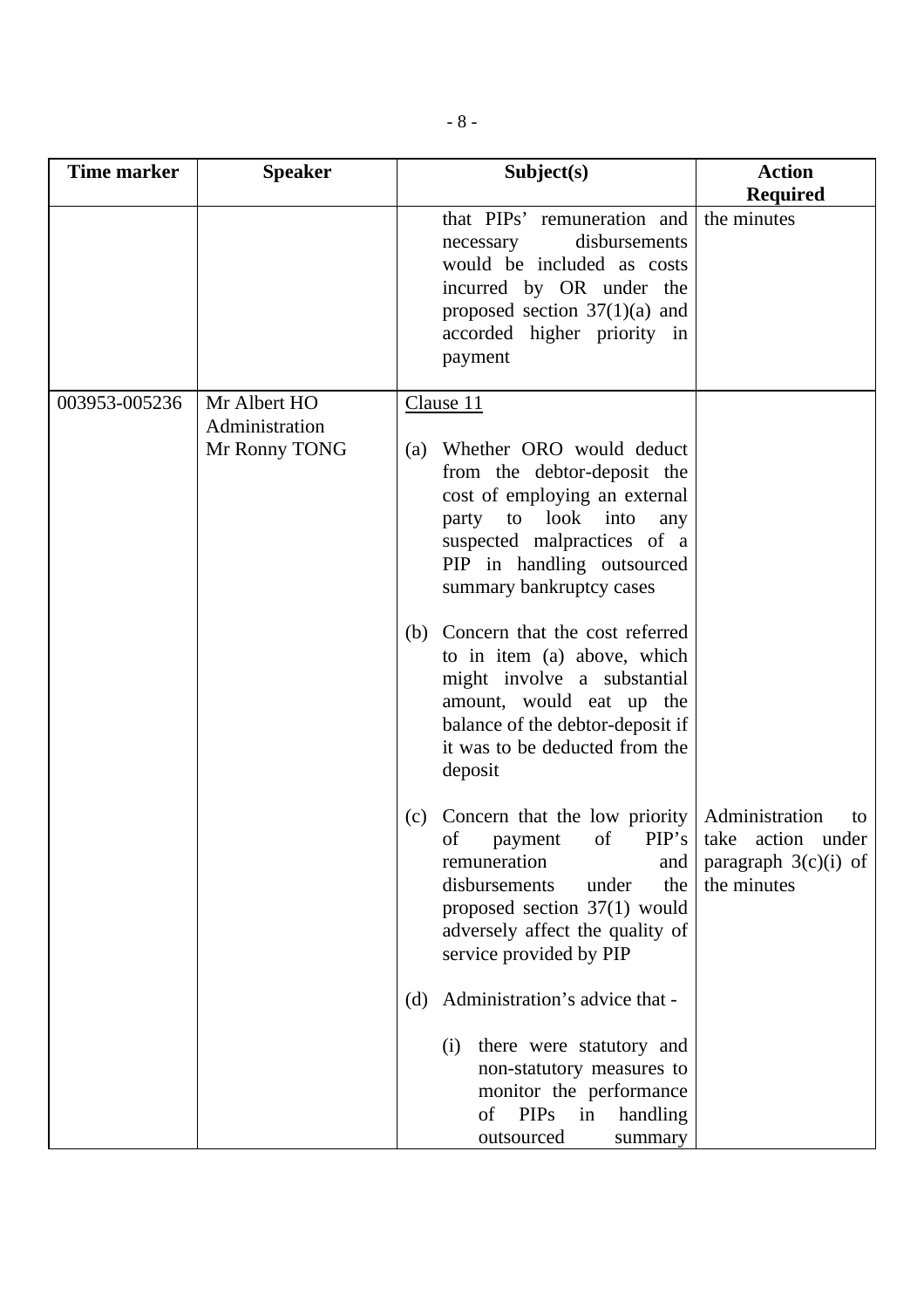| <b>Time marker</b> | <b>Speaker</b>                                  | Subject(s)                                                                                                                                                                                                                                                                                                                                                                                                                                             | <b>Action</b>                                                    |
|--------------------|-------------------------------------------------|--------------------------------------------------------------------------------------------------------------------------------------------------------------------------------------------------------------------------------------------------------------------------------------------------------------------------------------------------------------------------------------------------------------------------------------------------------|------------------------------------------------------------------|
|                    |                                                 | that PIPs' remuneration and<br>disbursements<br>necessary<br>would be included as costs<br>incurred by OR under the<br>proposed section $37(1)(a)$ and<br>accorded higher priority in<br>payment                                                                                                                                                                                                                                                       | <b>Required</b><br>the minutes                                   |
| 003953-005236      | Mr Albert HO<br>Administration<br>Mr Ronny TONG | Clause 11<br>Whether ORO would deduct<br>(a)<br>from the debtor-deposit the<br>cost of employing an external<br>party to look into<br>any<br>suspected malpractices of a<br>PIP in handling outsourced<br>summary bankruptcy cases<br>Concern that the cost referred<br>(b)<br>to in item (a) above, which<br>might involve a substantial<br>amount, would eat up the<br>balance of the debtor-deposit if<br>it was to be deducted from the<br>deposit |                                                                  |
|                    |                                                 | Concern that the low priority   Administration<br>(c)<br>of<br>of<br>PIP's<br>payment<br>remuneration<br>and<br>the<br>disbursements<br>under<br>proposed section 37(1) would<br>adversely affect the quality of<br>service provided by PIP                                                                                                                                                                                                            | to<br>take action under<br>paragraph $3(c)(i)$ of<br>the minutes |
|                    |                                                 | Administration's advice that -<br>(d)<br>there were statutory and<br>(i)<br>non-statutory measures to<br>monitor the performance<br><b>PIPs</b><br>of<br>in<br>handling<br>outsourced<br>summary                                                                                                                                                                                                                                                       |                                                                  |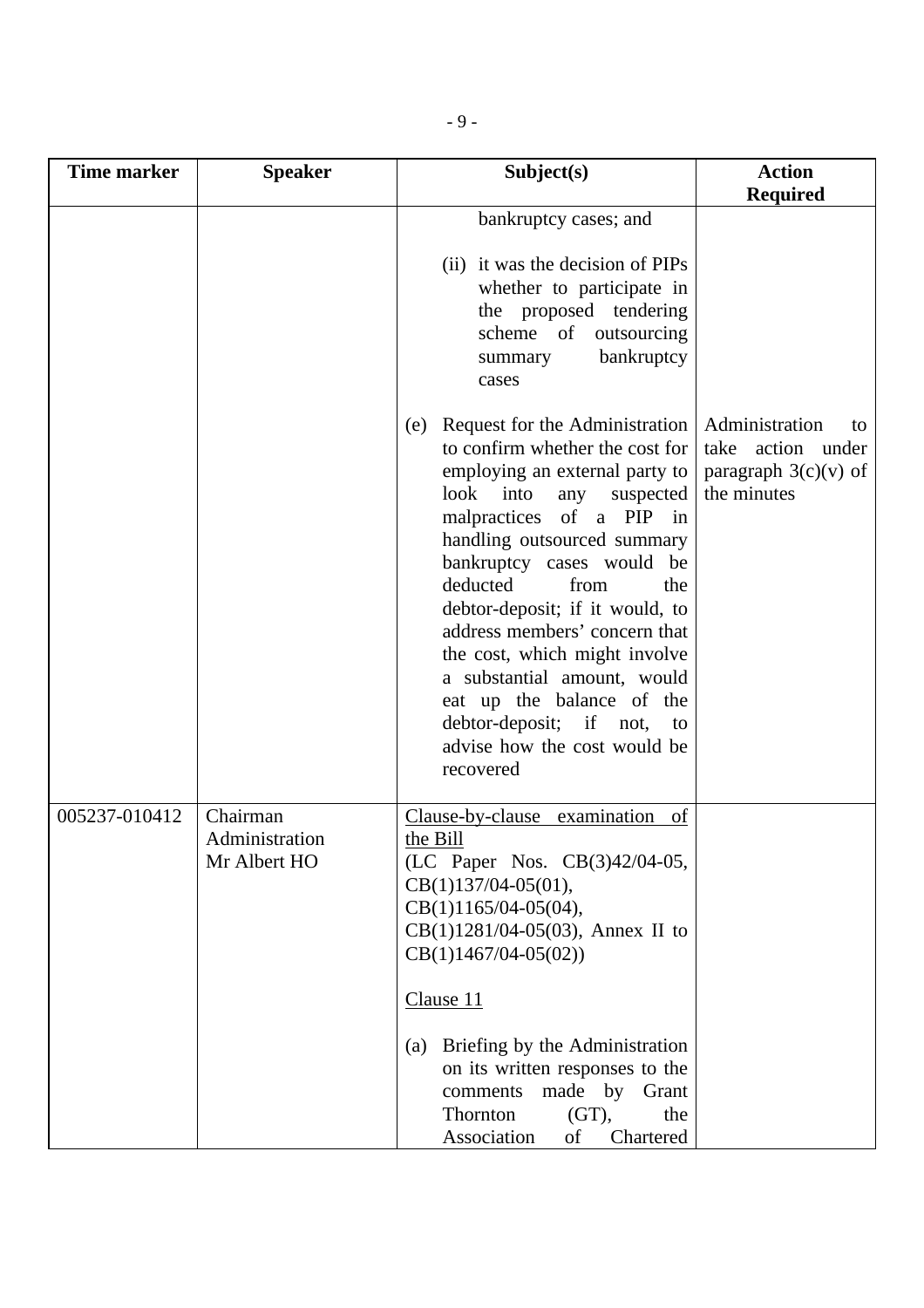| <b>Time marker</b> | <b>Speaker</b>                             | Subject(s)                                                                                                                                                                                                                                                                                                                                                                                                                                                                                                          | <b>Action</b>                                                                      |
|--------------------|--------------------------------------------|---------------------------------------------------------------------------------------------------------------------------------------------------------------------------------------------------------------------------------------------------------------------------------------------------------------------------------------------------------------------------------------------------------------------------------------------------------------------------------------------------------------------|------------------------------------------------------------------------------------|
|                    |                                            |                                                                                                                                                                                                                                                                                                                                                                                                                                                                                                                     | <b>Required</b>                                                                    |
|                    |                                            | bankruptcy cases; and                                                                                                                                                                                                                                                                                                                                                                                                                                                                                               |                                                                                    |
|                    |                                            | (ii) it was the decision of PIPs<br>whether to participate in<br>the proposed tendering<br>scheme of<br>outsourcing<br>bankruptcy<br>summary<br>cases                                                                                                                                                                                                                                                                                                                                                               |                                                                                    |
|                    |                                            | Request for the Administration<br>(e)<br>to confirm whether the cost for<br>employing an external party to<br>look<br>into<br>suspected<br>any<br>malpractices of a PIP in<br>handling outsourced summary<br>bankruptcy cases would be<br>deducted<br>from<br>the<br>debtor-deposit; if it would, to<br>address members' concern that<br>the cost, which might involve<br>a substantial amount, would<br>eat up the balance of the<br>debtor-deposit; if<br>not,<br>to<br>advise how the cost would be<br>recovered | Administration<br>to<br>take action under<br>paragraph $3(c)(v)$ of<br>the minutes |
| 005237-010412      | Chairman<br>Administration<br>Mr Albert HO | Clause-by-clause<br>examination<br>of<br>the Bill<br>(LC Paper Nos. CB(3)42/04-05,<br>$CB(1)137/04-05(01),$<br>$CB(1)1165/04-05(04),$<br>$CB(1)1281/04-05(03)$ , Annex II to<br>$CB(1)1467/04-05(02))$<br>Clause 11                                                                                                                                                                                                                                                                                                 |                                                                                    |
|                    |                                            | Briefing by the Administration<br>(a)<br>on its written responses to the<br>made by<br>comments<br>Grant<br>Thornton<br>(GT),<br>the<br>Association<br>of<br>Chartered                                                                                                                                                                                                                                                                                                                                              |                                                                                    |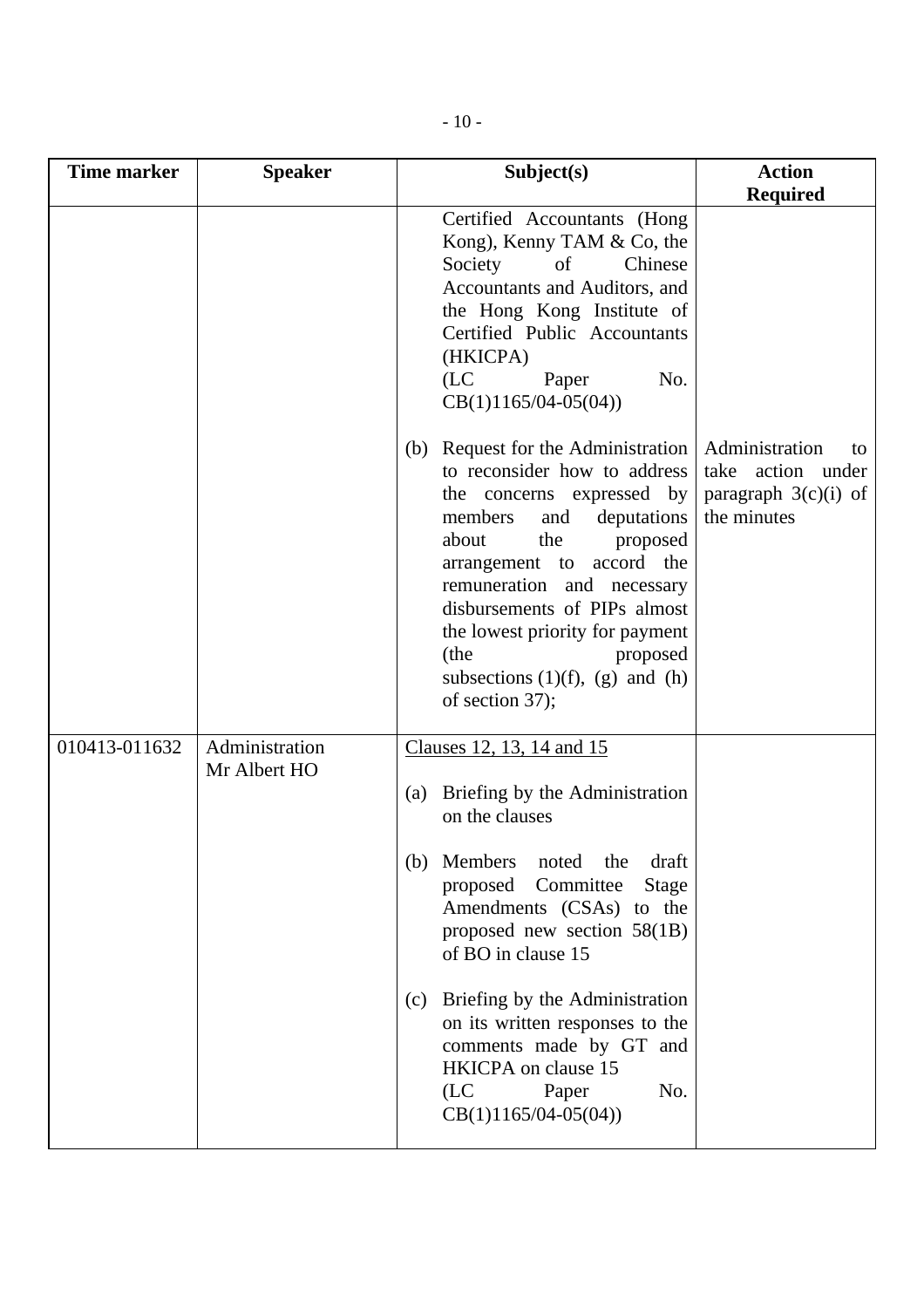| <b>Time marker</b> | <b>Speaker</b>                 | Subject(s)                                                                                                                                                                                                                                                                                                                                                                     | <b>Action</b>                                                                      |
|--------------------|--------------------------------|--------------------------------------------------------------------------------------------------------------------------------------------------------------------------------------------------------------------------------------------------------------------------------------------------------------------------------------------------------------------------------|------------------------------------------------------------------------------------|
|                    |                                |                                                                                                                                                                                                                                                                                                                                                                                | <b>Required</b>                                                                    |
|                    |                                | Certified Accountants (Hong<br>Kong), Kenny TAM & Co, the<br>Society<br>of<br>Chinese<br>Accountants and Auditors, and<br>the Hong Kong Institute of<br>Certified Public Accountants<br>(HKICPA)<br>(LC)<br>Paper<br>No.<br>$CB(1)1165/04-05(04))$                                                                                                                             |                                                                                    |
|                    |                                | Request for the Administration<br>(b)<br>to reconsider how to address<br>the concerns expressed by<br>members<br>deputations<br>and<br>the<br>about<br>proposed<br>arrangement to accord the<br>remuneration and necessary<br>disbursements of PIPs almost<br>the lowest priority for payment<br>(the<br>proposed<br>subsections $(1)(f)$ , $(g)$ and $(h)$<br>of section 37); | Administration<br>to<br>take action under<br>paragraph $3(c)(i)$ of<br>the minutes |
| 010413-011632      | Administration<br>Mr Albert HO | Clauses 12, 13, 14 and 15                                                                                                                                                                                                                                                                                                                                                      |                                                                                    |
|                    |                                | Briefing by the Administration<br>(a)<br>on the clauses                                                                                                                                                                                                                                                                                                                        |                                                                                    |
|                    |                                | Members<br>noted<br>draft<br>the<br>(b)<br>Committee<br>proposed<br>Stage<br>Amendments (CSAs) to the<br>proposed new section 58(1B)<br>of BO in clause 15                                                                                                                                                                                                                     |                                                                                    |
|                    |                                | Briefing by the Administration<br>(c)<br>on its written responses to the<br>comments made by GT and<br>HKICPA on clause 15<br>(LC)<br>Paper<br>No.<br>$CB(1)1165/04-05(04))$                                                                                                                                                                                                   |                                                                                    |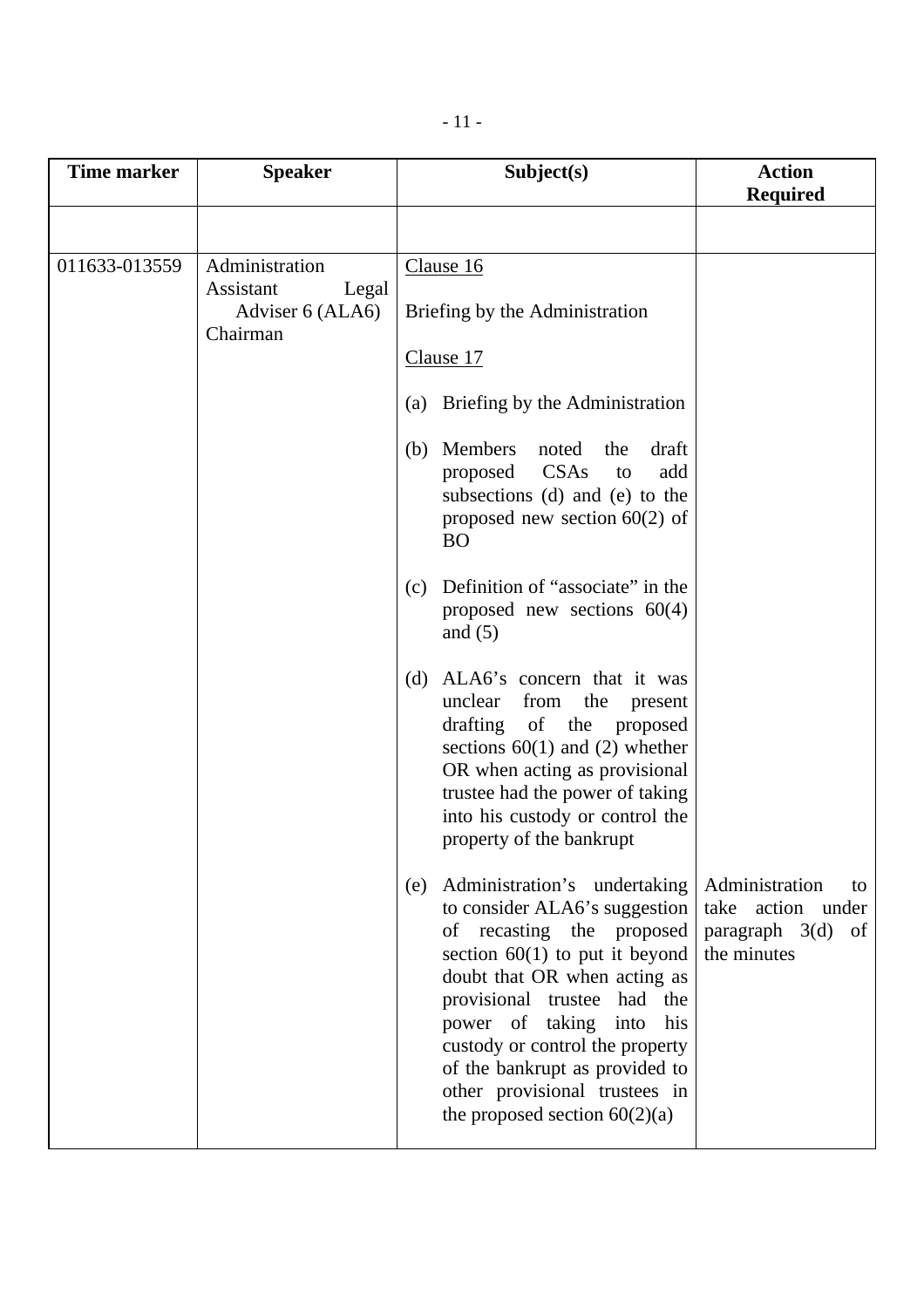| <b>Time marker</b> | <b>Speaker</b>                                                       | Subject(s)                                                                                                                                                                                                                                                                                                                                                                                                         | <b>Action</b><br><b>Required</b>                                                 |
|--------------------|----------------------------------------------------------------------|--------------------------------------------------------------------------------------------------------------------------------------------------------------------------------------------------------------------------------------------------------------------------------------------------------------------------------------------------------------------------------------------------------------------|----------------------------------------------------------------------------------|
|                    |                                                                      |                                                                                                                                                                                                                                                                                                                                                                                                                    |                                                                                  |
| 011633-013559      | Administration<br>Assistant<br>Legal<br>Adviser 6 (ALA6)<br>Chairman | Clause 16<br>Briefing by the Administration<br>Clause 17<br>(a) Briefing by the Administration<br>(b) Members<br>noted<br>the<br>draft<br>CSAs<br>add<br>proposed<br>to<br>subsections (d) and (e) to the                                                                                                                                                                                                          |                                                                                  |
|                    |                                                                      | proposed new section $60(2)$ of<br><b>BO</b><br>Definition of "associate" in the<br>(c)<br>proposed new sections $60(4)$<br>and $(5)$<br>ALA6's concern that it was<br>(d)<br>unclear<br>the<br>from<br>present<br>drafting of the proposed<br>sections $60(1)$ and (2) whether<br>OR when acting as provisional<br>trustee had the power of taking<br>into his custody or control the<br>property of the bankrupt |                                                                                  |
|                    |                                                                      | Administration's undertaking<br>(e)<br>to consider ALA6's suggestion<br>of recasting the proposed<br>section $60(1)$ to put it beyond<br>doubt that OR when acting as<br>provisional trustee had the<br>power of taking<br>into<br>his<br>custody or control the property<br>of the bankrupt as provided to<br>other provisional trustees in<br>the proposed section $60(2)(a)$                                    | Administration<br>to<br>take action under<br>paragraph 3(d)<br>of<br>the minutes |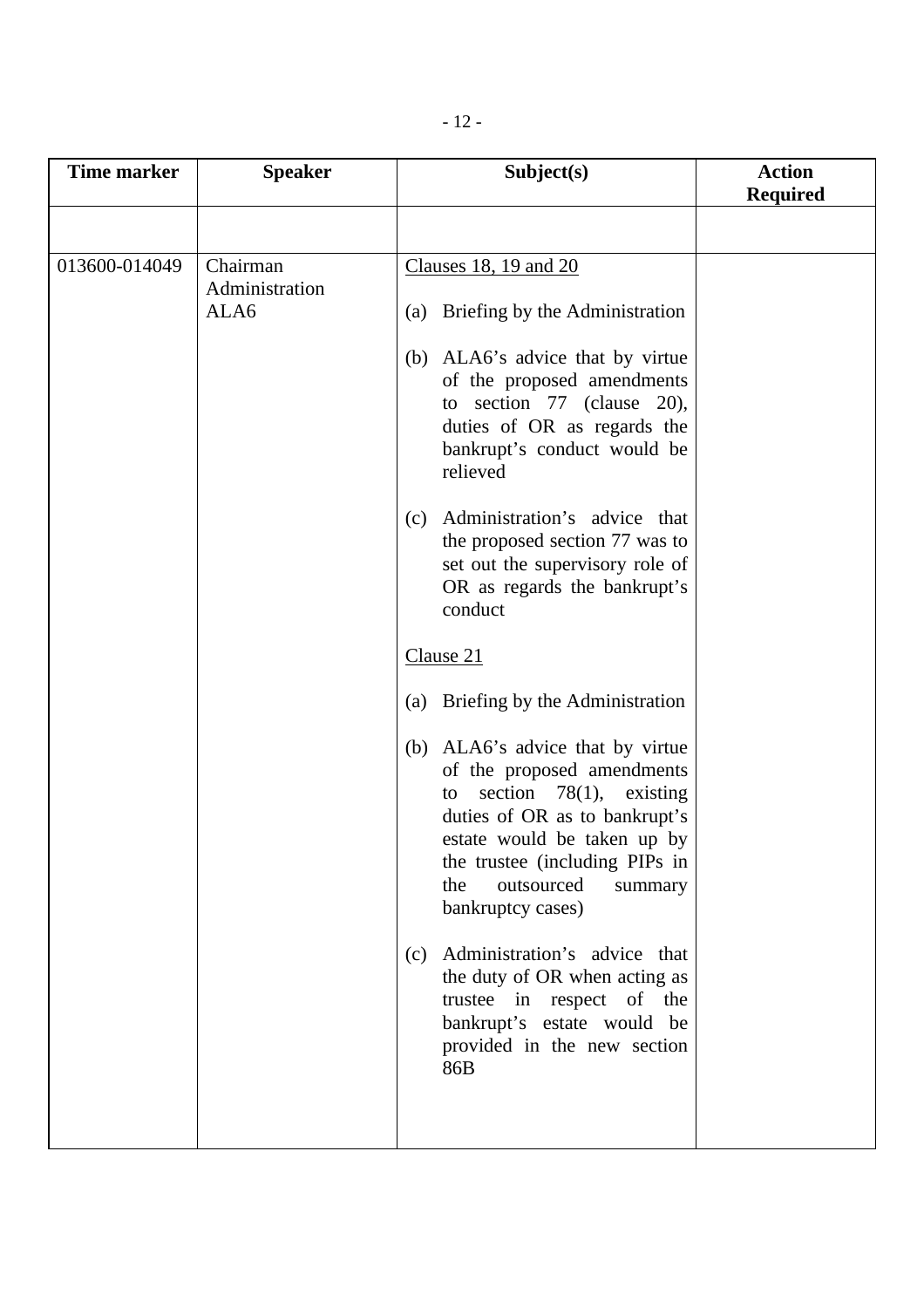| <b>Time marker</b> | <b>Speaker</b>             | Subject(s)                                                                                                                                                                                                                                                | <b>Action</b><br><b>Required</b> |
|--------------------|----------------------------|-----------------------------------------------------------------------------------------------------------------------------------------------------------------------------------------------------------------------------------------------------------|----------------------------------|
|                    |                            |                                                                                                                                                                                                                                                           |                                  |
| 013600-014049      | Chairman<br>Administration | Clauses 18, 19 and 20                                                                                                                                                                                                                                     |                                  |
|                    | ALA6                       | (a) Briefing by the Administration                                                                                                                                                                                                                        |                                  |
|                    |                            | (b) ALA6's advice that by virtue<br>of the proposed amendments<br>to section $77$ (clause 20),<br>duties of OR as regards the<br>bankrupt's conduct would be<br>relieved                                                                                  |                                  |
|                    |                            | Administration's advice that<br>(c)<br>the proposed section 77 was to<br>set out the supervisory role of<br>OR as regards the bankrupt's<br>conduct                                                                                                       |                                  |
|                    |                            | Clause 21                                                                                                                                                                                                                                                 |                                  |
|                    |                            | Briefing by the Administration<br>(a)                                                                                                                                                                                                                     |                                  |
|                    |                            | (b) ALA6's advice that by virtue<br>of the proposed amendments<br>section $78(1)$ , existing<br>to<br>duties of OR as to bankrupt's<br>estate would be taken up by<br>the trustee (including PIPs in<br>the<br>outsourced<br>summary<br>bankruptcy cases) |                                  |
|                    |                            | Administration's advice that<br>(c)<br>the duty of OR when acting as<br>trustee in respect of the<br>bankrupt's estate would be<br>provided in the new section<br>86B                                                                                     |                                  |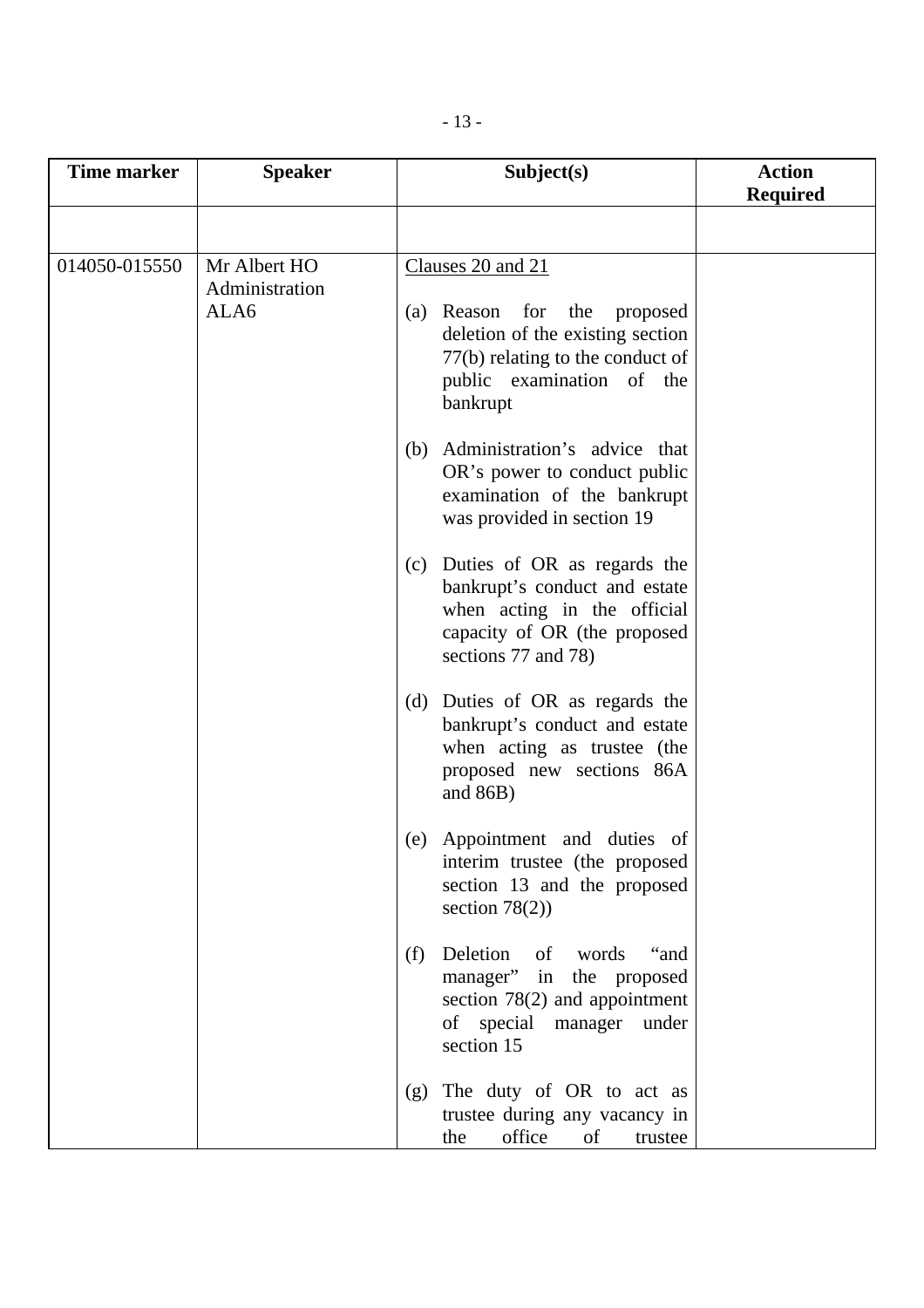| <b>Time marker</b>                                      | <b>Speaker</b> | Subject(s)                                                                                                                                                              | <b>Action</b><br><b>Required</b> |
|---------------------------------------------------------|----------------|-------------------------------------------------------------------------------------------------------------------------------------------------------------------------|----------------------------------|
|                                                         |                |                                                                                                                                                                         |                                  |
| Mr Albert HO<br>014050-015550<br>Administration<br>ALA6 |                | Clauses 20 and 21<br>(a) Reason<br>for the<br>proposed<br>deletion of the existing section<br>77(b) relating to the conduct of<br>public examination of the<br>bankrupt |                                  |
|                                                         |                | Administration's advice that<br>(b)<br>OR's power to conduct public<br>examination of the bankrupt<br>was provided in section 19                                        |                                  |
|                                                         |                | (c) Duties of OR as regards the<br>bankrupt's conduct and estate<br>when acting in the official<br>capacity of OR (the proposed<br>sections 77 and 78)                  |                                  |
|                                                         |                | (d) Duties of OR as regards the<br>bankrupt's conduct and estate<br>when acting as trustee (the<br>proposed new sections 86A<br>and $86B$ )                             |                                  |
|                                                         |                | (e) Appointment and duties of<br>interim trustee (the proposed<br>section 13 and the proposed<br>section $78(2)$ )                                                      |                                  |
|                                                         |                | Deletion<br>of words<br>(f)<br>"and<br>manager"<br>in the proposed<br>section $78(2)$ and appointment<br>of special manager under<br>section 15                         |                                  |
|                                                         |                | The duty of OR to act as<br>(g)<br>trustee during any vacancy in<br>office<br>the<br>of<br>trustee                                                                      |                                  |